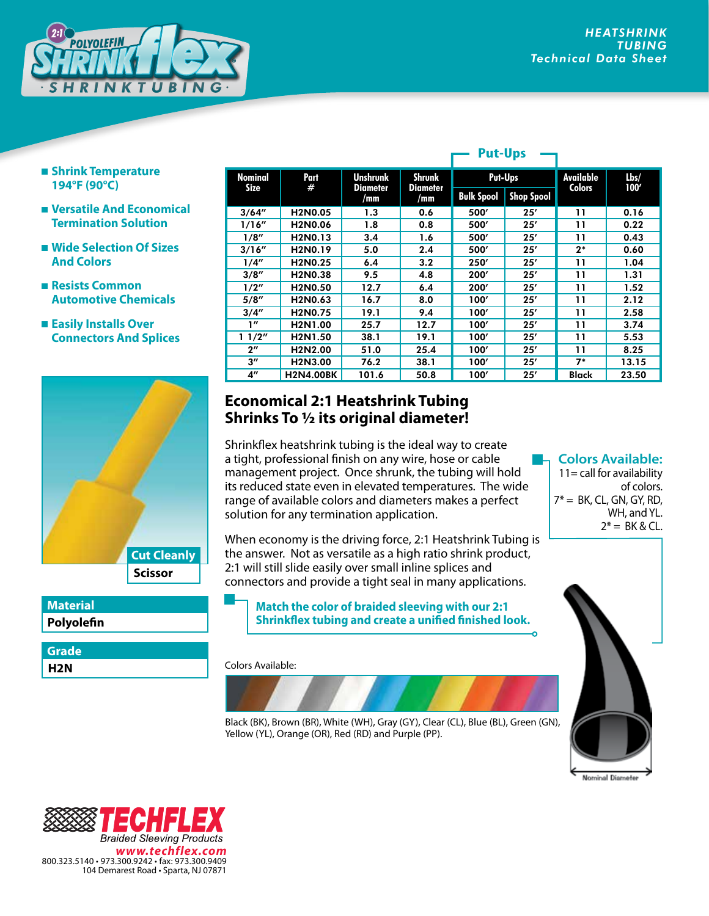

- **Shrink Temperature 194°F (90°C)**
- **Versatile And Economical Termination Solution**
- **Wide Selection Of Sizes And Colors**
- **Resists Common Automotive Chemicals**
- **Easily Installs Over Connectors And Splices**



| <b>Material</b> |  |
|-----------------|--|
| Polyolefin      |  |

**H2N Grade**

| <b>Nominal</b><br><b>Size</b> | Part<br>#                         | <b>Unshrunk</b> | <b>Shrunk</b><br><b>Diameter</b><br>/mm | Put-Ups           |                   | <b>Available</b><br><b>Colors</b> | Lbs/<br>100' |
|-------------------------------|-----------------------------------|-----------------|-----------------------------------------|-------------------|-------------------|-----------------------------------|--------------|
|                               |                                   | Diameter<br>/mm |                                         | <b>Bulk Spool</b> | <b>Shop Spool</b> |                                   |              |
| 3/64''                        | H2N0.05                           | 1.3             | 0.6                                     | 500'              | 25'               | 11                                | 0.16         |
| 1/16''                        | H2N0.06                           | 1.8             | 0.8                                     | 500'              | 25'               | 11                                | 0.22         |
| 1/8''                         | H <sub>2</sub> N <sub>0</sub> .13 | 3.4             | 1.6                                     | 500'              | 25'               | 11                                | 0.43         |
| 3/16''                        | H2N0.19                           | 5.0             | 2.4                                     | 500'              | 25'               | $2*$                              | 0.60         |
| 1/4''                         | H <sub>2</sub> N <sub>0</sub> .25 | 6.4             | 3.2                                     | 250'              | 25'               | 11                                | 1.04         |
| 3/8''                         | H2N0.38                           | 9.5             | 4.8                                     | 200'              | 25'               | 11                                | 1.31         |
| 1/2''                         | H <sub>2</sub> N <sub>0.50</sub>  | 12.7            | 6.4                                     | 200'              | 25'               | 11                                | 1.52         |
| 5/8''                         | H2N0.63                           | 16.7            | 8.0                                     | 100'              | 25'               | 11                                | 2.12         |
| 3/4''                         | H <sub>2</sub> N <sub>0.75</sub>  | 19.1            | 9.4                                     | 100'              | 25'               | 11                                | 2.58         |
| 1''                           | H2N1.00                           | 25.7            | 12.7                                    | 100'              | 25'               | 11                                | 3.74         |
| 11/2"                         | H2N1.50                           | 38.1            | 19.1                                    | 100'              | 25'               | 11                                | 5.53         |
| $2^{\prime\prime}$            | H <sub>2</sub> N <sub>2</sub> .00 | 51.0            | 25.4                                    | 100'              | 25'               | 11                                | 8.25         |
| $3^{\prime\prime}$            | H2N3.00                           | 76.2            | 38.1                                    | 100'              | 25'               | $7*$                              | 13.15        |
| 4"                            | <b>H2N4.00BK</b>                  | 101.6           | 50.8                                    | 100'              | 25'               | <b>Black</b>                      | 23.50        |

**Put-Ups**

## **Economical 2:1 Heatshrink Tubing Shrinks To 1/2 its original diameter!**

Shrinkflex heatshrink tubing is the ideal way to create a tight, professional finish on any wire, hose or cable management project. Once shrunk, the tubing will hold its reduced state even in elevated temperatures. The wide range of available colors and diameters makes a perfect solution for any termination application.

When economy is the driving force, 2:1 Heatshrink Tubing is the answer. Not as versatile as a high ratio shrink product, 2:1 will still slide easily over small inline splices and connectors and provide a tight seal in many applications.

**Match the color of braided sleeving with our 2:1 Shrinkflex tubing and create a unified finished look.**

Colors Available:



**Colors Available:** 11= call for availability of colors.  $7^* = BK$ , CL, GN, GY, RD, WH, and YL.  $2^* = BK & CL.$ 



Е С **Braided Sleeving Products** *www.techflex.com* 800.323.5140 • 973.300.9242 • fax: 973.300.9409 104 Demarest Road • Sparta, NJ 07871